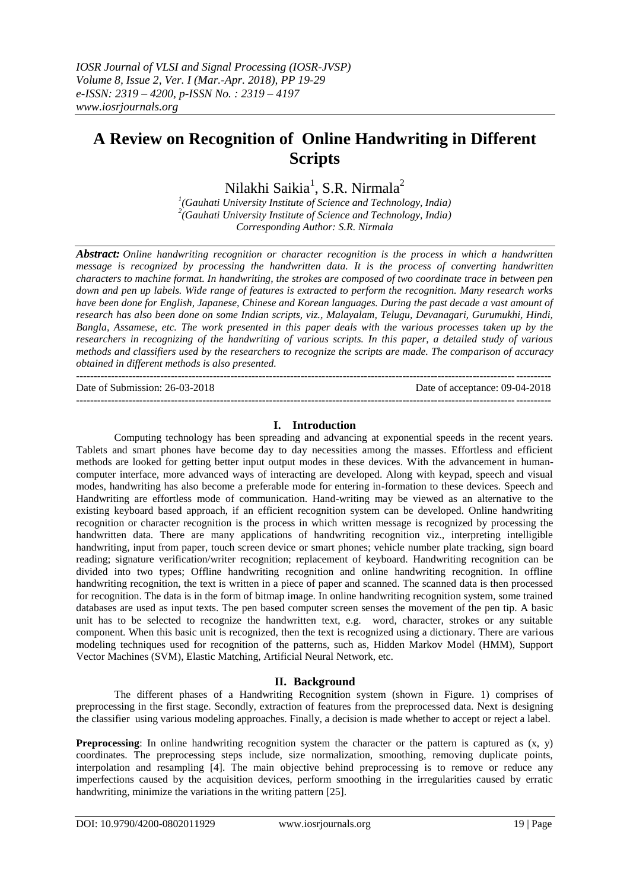# **A Review on Recognition of Online Handwriting in Different Scripts**

Nilakhi Saikia<sup>1</sup>, S.R. Nirmala<sup>2</sup>

*1 (Gauhati University Institute of Science and Technology, India) 2 (Gauhati University Institute of Science and Technology, India) Corresponding Author: S.R. Nirmala*

*Abstract: Online handwriting recognition or character recognition is the process in which a handwritten message is recognized by processing the handwritten data. It is the process of converting handwritten characters to machine format. In handwriting, the strokes are composed of two coordinate trace in between pen down and pen up labels. Wide range of features is extracted to perform the recognition. Many research works have been done for English, Japanese, Chinese and Korean languages. During the past decade a vast amount of research has also been done on some Indian scripts, viz., Malayalam, Telugu, Devanagari, Gurumukhi, Hindi, Bangla, Assamese, etc. The work presented in this paper deals with the various processes taken up by the researchers in recognizing of the handwriting of various scripts. In this paper, a detailed study of various methods and classifiers used by the researchers to recognize the scripts are made. The comparison of accuracy obtained in different methods is also presented.*  ---------------------------------------------------------------------------------------------------------------------------------------

Date of Submission: 26-03-2018 Date of acceptance: 09-04-2018 ---------------------------------------------------------------------------------------------------------------------------------------

#### **I. Introduction**

Computing technology has been spreading and advancing at exponential speeds in the recent years. Tablets and smart phones have become day to day necessities among the masses. Effortless and efficient methods are looked for getting better input output modes in these devices. With the advancement in humancomputer interface, more advanced ways of interacting are developed. Along with keypad, speech and visual modes, handwriting has also become a preferable mode for entering in-formation to these devices. Speech and Handwriting are effortless mode of communication. Hand-writing may be viewed as an alternative to the existing keyboard based approach, if an efficient recognition system can be developed. Online handwriting recognition or character recognition is the process in which written message is recognized by processing the handwritten data. There are many applications of handwriting recognition viz., interpreting intelligible handwriting, input from paper, touch screen device or smart phones; vehicle number plate tracking, sign board reading; signature verification/writer recognition; replacement of keyboard. Handwriting recognition can be divided into two types; Offline handwriting recognition and online handwriting recognition. In offline handwriting recognition, the text is written in a piece of paper and scanned. The scanned data is then processed for recognition. The data is in the form of bitmap image. In online handwriting recognition system, some trained databases are used as input texts. The pen based computer screen senses the movement of the pen tip. A basic unit has to be selected to recognize the handwritten text, e.g. word, character, strokes or any suitable component. When this basic unit is recognized, then the text is recognized using a dictionary. There are various modeling techniques used for recognition of the patterns, such as, Hidden Markov Model (HMM), Support Vector Machines (SVM), Elastic Matching, Artificial Neural Network, etc.

#### **II. Background**

The different phases of a Handwriting Recognition system (shown in Figure. 1) comprises of preprocessing in the first stage. Secondly, extraction of features from the preprocessed data. Next is designing the classifier using various modeling approaches. Finally, a decision is made whether to accept or reject a label.

**Preprocessing**: In online handwriting recognition system the character or the pattern is captured as  $(x, y)$ coordinates. The preprocessing steps include, size normalization, smoothing, removing duplicate points, interpolation and resampling [4]. The main objective behind preprocessing is to remove or reduce any imperfections caused by the acquisition devices, perform smoothing in the irregularities caused by erratic handwriting, minimize the variations in the writing pattern [25].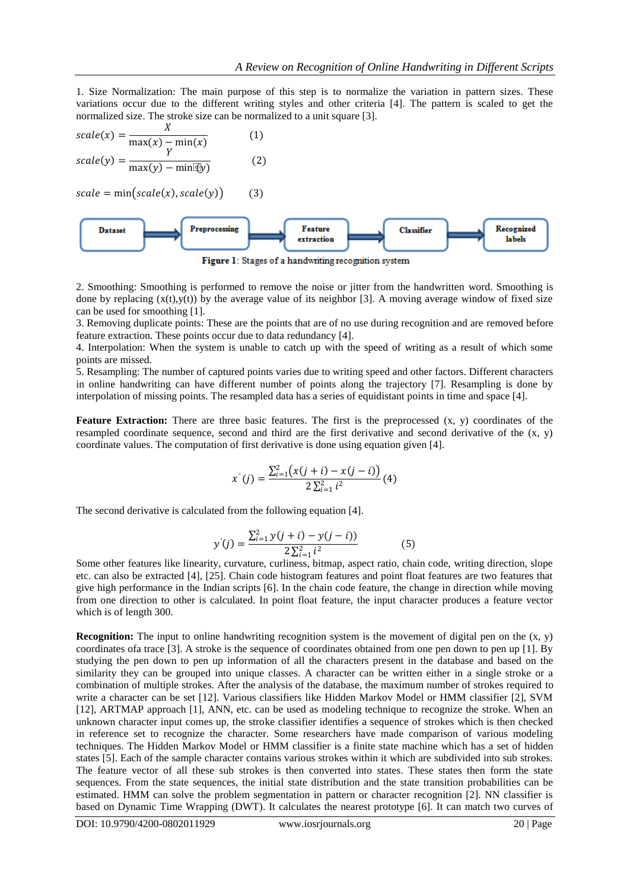1. Size Normalization: The main purpose of this step is to normalize the variation in pattern sizes. These variations occur due to the different writing styles and other criteria [4]. The pattern is scaled to get the normalized size. The stroke size can be normalized to a unit square [3].

scale(x) = 
$$
\frac{X}{\max(x) - \min(x)}
$$
 (1)  
scale(y) =  $\frac{Y}{\max(y) - \min(xy)}$  (2)

 $scale = min(scale(x), scale(y))$  (3)



Figure 1: Stages of a handwriting recognition system

2. Smoothing: Smoothing is performed to remove the noise or jitter from the handwritten word. Smoothing is done by replacing  $(x(t),y(t))$  by the average value of its neighbor [3]. A moving average window of fixed size can be used for smoothing [1].

3. Removing duplicate points: These are the points that are of no use during recognition and are removed before feature extraction. These points occur due to data redundancy [4].

4. Interpolation: When the system is unable to catch up with the speed of writing as a result of which some points are missed.

5. Resampling: The number of captured points varies due to writing speed and other factors. Different characters in online handwriting can have different number of points along the trajectory [7]. Resampling is done by interpolation of missing points. The resampled data has a series of equidistant points in time and space [4].

**Feature Extraction:** There are three basic features. The first is the preprocessed (x, y) coordinates of the resampled coordinate sequence, second and third are the first derivative and second derivative of the  $(x, y)$ coordinate values. The computation of first derivative is done using equation given [4].

$$
x'(j) = \frac{\sum_{i=1}^{2} (x(j+i) - x(j-i))}{2\sum_{i=1}^{2} i^2} (4)
$$

The second derivative is calculated from the following equation [4].

$$
y'(j) = \frac{\sum_{i=1}^{2} y(j+i) - y(j-i))}{2\sum_{i=1}^{2} i^{2}}
$$
(5)

Some other features like linearity, curvature, curliness, bitmap, aspect ratio, chain code, writing direction, slope etc. can also be extracted [4], [25]. Chain code histogram features and point float features are two features that give high performance in the Indian scripts [6]. In the chain code feature, the change in direction while moving from one direction to other is calculated. In point float feature, the input character produces a feature vector which is of length 300.

**Recognition:** The input to online handwriting recognition system is the movement of digital pen on the  $(x, y)$ coordinates ofa trace [3]. A stroke is the sequence of coordinates obtained from one pen down to pen up [1]. By studying the pen down to pen up information of all the characters present in the database and based on the similarity they can be grouped into unique classes. A character can be written either in a single stroke or a combination of multiple strokes. After the analysis of the database, the maximum number of strokes required to write a character can be set [12]. Various classifiers like Hidden Markov Model or HMM classifier [2], SVM [12], ARTMAP approach [1], ANN, etc. can be used as modeling technique to recognize the stroke. When an unknown character input comes up, the stroke classifier identifies a sequence of strokes which is then checked in reference set to recognize the character. Some researchers have made comparison of various modeling techniques. The Hidden Markov Model or HMM classifier is a finite state machine which has a set of hidden states [5]. Each of the sample character contains various strokes within it which are subdivided into sub strokes. The feature vector of all these sub strokes is then converted into states. These states then form the state sequences. From the state sequences, the initial state distribution and the state transition probabilities can be estimated. HMM can solve the problem segmentation in pattern or character recognition [2]. NN classifier is based on Dynamic Time Wrapping (DWT). It calculates the nearest prototype [6]. It can match two curves of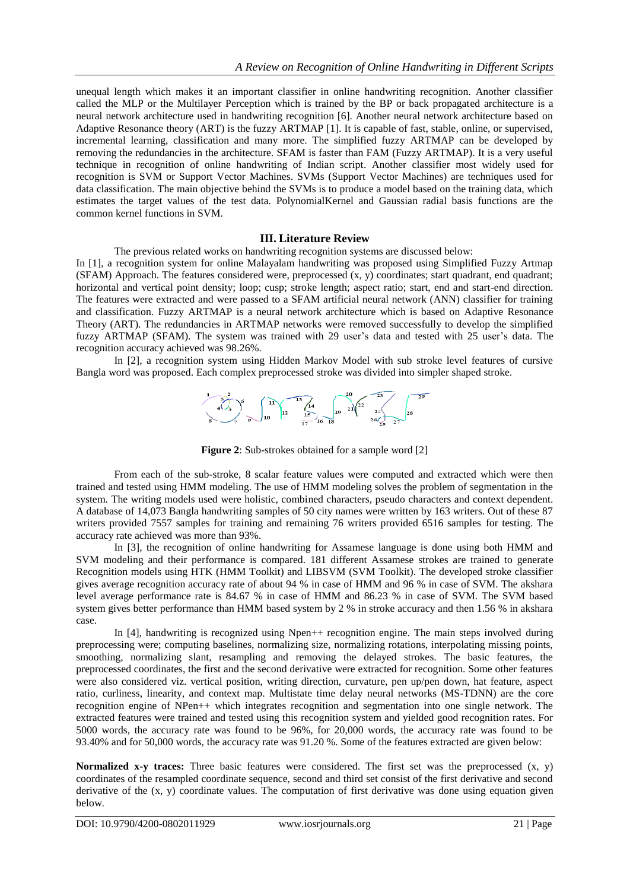unequal length which makes it an important classifier in online handwriting recognition. Another classifier called the MLP or the Multilayer Perception which is trained by the BP or back propagated architecture is a neural network architecture used in handwriting recognition [6]. Another neural network architecture based on Adaptive Resonance theory (ART) is the fuzzy ARTMAP [1]. It is capable of fast, stable, online, or supervised, incremental learning, classification and many more. The simplified fuzzy ARTMAP can be developed by removing the redundancies in the architecture. SFAM is faster than FAM (Fuzzy ARTMAP). It is a very useful technique in recognition of online handwriting of Indian script. Another classifier most widely used for recognition is SVM or Support Vector Machines. SVMs (Support Vector Machines) are techniques used for data classification. The main objective behind the SVMs is to produce a model based on the training data, which estimates the target values of the test data. PolynomialKernel and Gaussian radial basis functions are the common kernel functions in SVM.

#### **III. Literature Review**

The previous related works on handwriting recognition systems are discussed below:

In [1], a recognition system for online Malayalam handwriting was proposed using Simplified Fuzzy Artmap (SFAM) Approach. The features considered were, preprocessed (x, y) coordinates; start quadrant, end quadrant; horizontal and vertical point density; loop; cusp; stroke length; aspect ratio; start, end and start-end direction. The features were extracted and were passed to a SFAM artificial neural network (ANN) classifier for training and classification. Fuzzy ARTMAP is a neural network architecture which is based on Adaptive Resonance Theory (ART). The redundancies in ARTMAP networks were removed successfully to develop the simplified fuzzy ARTMAP (SFAM). The system was trained with 29 user's data and tested with 25 user's data. The recognition accuracy achieved was 98.26%.

In [2], a recognition system using Hidden Markov Model with sub stroke level features of cursive Bangla word was proposed. Each complex preprocessed stroke was divided into simpler shaped stroke.



**Figure 2**: Sub-strokes obtained for a sample word [2]

From each of the sub-stroke, 8 scalar feature values were computed and extracted which were then trained and tested using HMM modeling. The use of HMM modeling solves the problem of segmentation in the system. The writing models used were holistic, combined characters, pseudo characters and context dependent. A database of 14,073 Bangla handwriting samples of 50 city names were written by 163 writers. Out of these 87 writers provided 7557 samples for training and remaining 76 writers provided 6516 samples for testing. The accuracy rate achieved was more than 93%.

In [3], the recognition of online handwriting for Assamese language is done using both HMM and SVM modeling and their performance is compared. 181 different Assamese strokes are trained to generate Recognition models using HTK (HMM Toolkit) and LIBSVM (SVM Toolkit). The developed stroke classifier gives average recognition accuracy rate of about 94 % in case of HMM and 96 % in case of SVM. The akshara level average performance rate is 84.67 % in case of HMM and 86.23 % in case of SVM. The SVM based system gives better performance than HMM based system by 2 % in stroke accuracy and then 1.56 % in akshara case.

In [4], handwriting is recognized using Npen++ recognition engine. The main steps involved during preprocessing were; computing baselines, normalizing size, normalizing rotations, interpolating missing points, smoothing, normalizing slant, resampling and removing the delayed strokes. The basic features, the preprocessed coordinates, the first and the second derivative were extracted for recognition. Some other features were also considered viz. vertical position, writing direction, curvature, pen up/pen down, hat feature, aspect ratio, curliness, linearity, and context map. Multistate time delay neural networks (MS-TDNN) are the core recognition engine of NPen++ which integrates recognition and segmentation into one single network. The extracted features were trained and tested using this recognition system and yielded good recognition rates. For 5000 words, the accuracy rate was found to be 96%, for 20,000 words, the accuracy rate was found to be 93.40% and for 50,000 words, the accuracy rate was 91.20 %. Some of the features extracted are given below:

**Normalized x-y traces:** Three basic features were considered. The first set was the preprocessed (x, y) coordinates of the resampled coordinate sequence, second and third set consist of the first derivative and second derivative of the (x, y) coordinate values. The computation of first derivative was done using equation given below.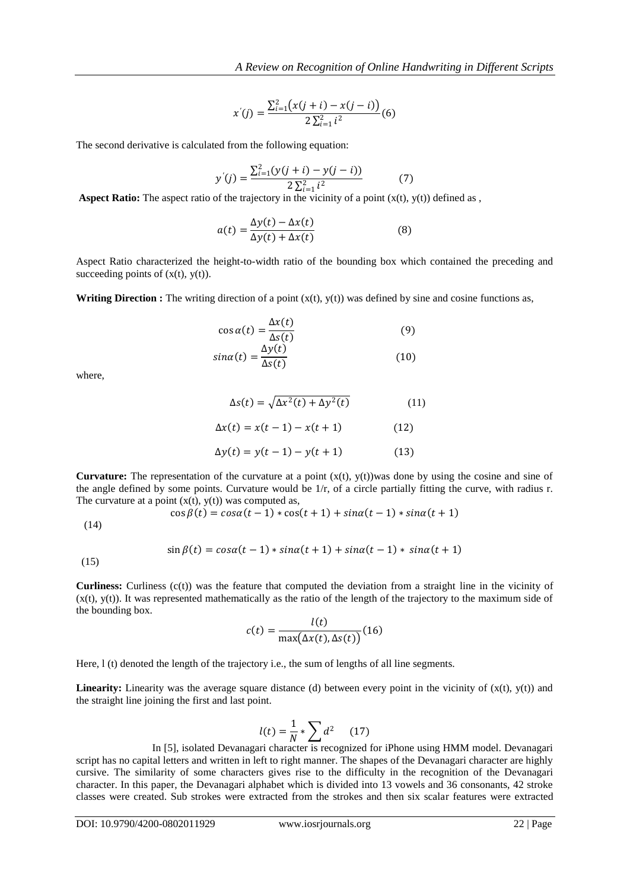$$
x'(j) = \frac{\sum_{i=1}^{2} (x(j+i) - x(j-i))}{2\sum_{i=1}^{2} i^{2}}(6)
$$

The second derivative is calculated from the following equation:

$$
y'(j) = \frac{\sum_{i=1}^{2} (y(j+i) - y(j-i))}{2 \sum_{i=1}^{2} i^{2}} \tag{7}
$$

**Aspect Ratio:** The aspect ratio of the trajectory in the vicinity of a point (x(t), y(t)) defined as ,

$$
a(t) = \frac{\Delta y(t) - \Delta x(t)}{\Delta y(t) + \Delta x(t)}
$$
(8)

Aspect Ratio characterized the height-to-width ratio of the bounding box which contained the preceding and succeeding points of  $(x(t), y(t))$ .

**Writing Direction :** The writing direction of a point  $(x(t), y(t))$  was defined by sine and cosine functions as,

$$
\cos \alpha(t) = \frac{\Delta x(t)}{\Delta s(t)}
$$
(9)  

$$
\sin \alpha(t) = \frac{\Delta y(t)}{\Delta s(t)}
$$
(10)

where,

$$
\Delta s(t) = \sqrt{\Delta x^{2}(t) + \Delta y^{2}(t)}
$$
(11)  

$$
\Delta x(t) = x(t-1) - x(t+1)
$$
(12)  

$$
\Delta y(t) = y(t-1) - y(t+1)
$$
(13)

**Curvature:** The representation of the curvature at a point  $(x(t), y(t))$ was done by using the cosine and sine of the angle defined by some points. Curvature would be 1/r, of a circle partially fitting the curve, with radius r. The curvature at a point  $(x(t), y(t))$  was computed as,

$$
\cos \beta(t) = \cos \alpha(t-1) * \cos(t+1) + \sin \alpha(t-1) * \sin \alpha(t+1)
$$

(14)

$$
\sin \beta(t) = \cos \alpha(t-1) * \sin \alpha(t+1) + \sin \alpha(t-1) * \sin \alpha(t+1)
$$

(15)

**Curliness:** Curliness (c(t)) was the feature that computed the deviation from a straight line in the vicinity of  $(x(t), y(t))$ . It was represented mathematically as the ratio of the length of the trajectory to the maximum side of the bounding box.

$$
c(t) = \frac{l(t)}{\max(\Delta x(t), \Delta s(t))}
$$
(16)

Here, l (t) denoted the length of the trajectory i.e., the sum of lengths of all line segments.

**Linearity:** Linearity was the average square distance (d) between every point in the vicinity of  $(x(t), y(t))$  and the straight line joining the first and last point.

$$
l(t) = \frac{1}{N} * \sum d^2 \qquad (17)
$$

In [5], isolated Devanagari character is recognized for iPhone using HMM model. Devanagari script has no capital letters and written in left to right manner. The shapes of the Devanagari character are highly cursive. The similarity of some characters gives rise to the difficulty in the recognition of the Devanagari character. In this paper, the Devanagari alphabet which is divided into 13 vowels and 36 consonants, 42 stroke classes were created. Sub strokes were extracted from the strokes and then six scalar features were extracted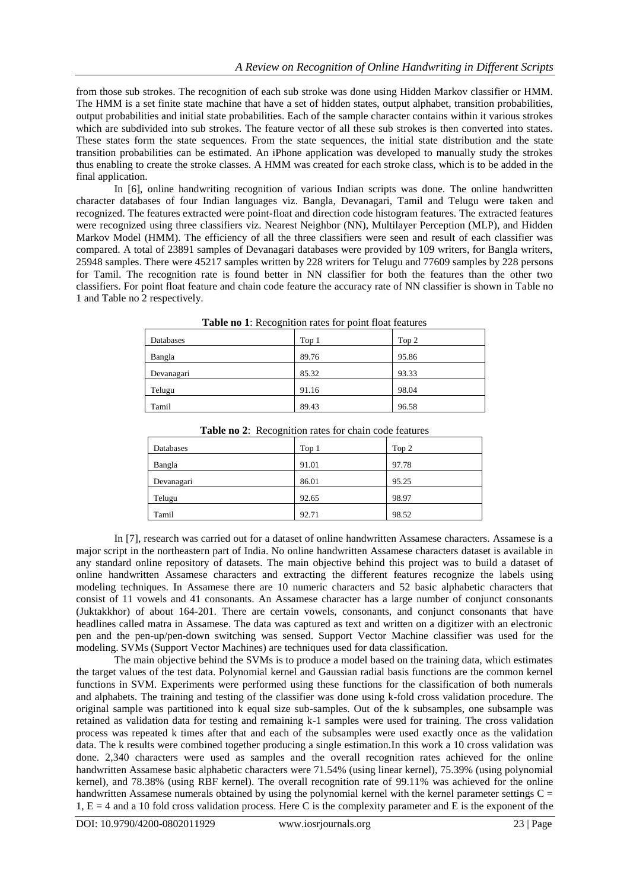from those sub strokes. The recognition of each sub stroke was done using Hidden Markov classifier or HMM. The HMM is a set finite state machine that have a set of hidden states, output alphabet, transition probabilities, output probabilities and initial state probabilities. Each of the sample character contains within it various strokes which are subdivided into sub strokes. The feature vector of all these sub strokes is then converted into states. These states form the state sequences. From the state sequences, the initial state distribution and the state transition probabilities can be estimated. An iPhone application was developed to manually study the strokes thus enabling to create the stroke classes. A HMM was created for each stroke class, which is to be added in the final application.

In [6], online handwriting recognition of various Indian scripts was done. The online handwritten character databases of four Indian languages viz. Bangla, Devanagari, Tamil and Telugu were taken and recognized. The features extracted were point-float and direction code histogram features. The extracted features were recognized using three classifiers viz. Nearest Neighbor (NN), Multilayer Perception (MLP), and Hidden Markov Model (HMM). The efficiency of all the three classifiers were seen and result of each classifier was compared. A total of 23891 samples of Devanagari databases were provided by 109 writers, for Bangla writers, 25948 samples. There were 45217 samples written by 228 writers for Telugu and 77609 samples by 228 persons for Tamil. The recognition rate is found better in NN classifier for both the features than the other two classifiers. For point float feature and chain code feature the accuracy rate of NN classifier is shown in Table no 1 and Table no 2 respectively.

| Databases  | Top 1 | Top 2 |
|------------|-------|-------|
| Bangla     | 89.76 | 95.86 |
| Devanagari | 85.32 | 93.33 |
| Telugu     | 91.16 | 98.04 |
| Tamil      | 89.43 | 96.58 |

**Table no 1**: Recognition rates for point float features

| Databases  | Top 1 | Top 2 |
|------------|-------|-------|
| Bangla     | 91.01 | 97.78 |
| Devanagari | 86.01 | 95.25 |
| Telugu     | 92.65 | 98.97 |
| Tamil      | 92.71 | 98.52 |
|            |       |       |

**Table no 2**: Recognition rates for chain code features

In [7], research was carried out for a dataset of online handwritten Assamese characters. Assamese is a major script in the northeastern part of India. No online handwritten Assamese characters dataset is available in any standard online repository of datasets. The main objective behind this project was to build a dataset of online handwritten Assamese characters and extracting the different features recognize the labels using modeling techniques. In Assamese there are 10 numeric characters and 52 basic alphabetic characters that consist of 11 vowels and 41 consonants. An Assamese character has a large number of conjunct consonants (Juktakkhor) of about 164-201. There are certain vowels, consonants, and conjunct consonants that have headlines called matra in Assamese. The data was captured as text and written on a digitizer with an electronic pen and the pen-up/pen-down switching was sensed. Support Vector Machine classifier was used for the modeling. SVMs (Support Vector Machines) are techniques used for data classification.

The main objective behind the SVMs is to produce a model based on the training data, which estimates the target values of the test data. Polynomial kernel and Gaussian radial basis functions are the common kernel functions in SVM. Experiments were performed using these functions for the classification of both numerals and alphabets. The training and testing of the classifier was done using k-fold cross validation procedure. The original sample was partitioned into k equal size sub-samples. Out of the k subsamples, one subsample was retained as validation data for testing and remaining k-1 samples were used for training. The cross validation process was repeated k times after that and each of the subsamples were used exactly once as the validation data. The k results were combined together producing a single estimation.In this work a 10 cross validation was done. 2,340 characters were used as samples and the overall recognition rates achieved for the online handwritten Assamese basic alphabetic characters were 71.54% (using linear kernel), 75.39% (using polynomial kernel), and 78.38% (using RBF kernel). The overall recognition rate of 99.11% was achieved for the online handwritten Assamese numerals obtained by using the polynomial kernel with the kernel parameter settings C = 1,  $E = 4$  and a 10 fold cross validation process. Here C is the complexity parameter and E is the exponent of the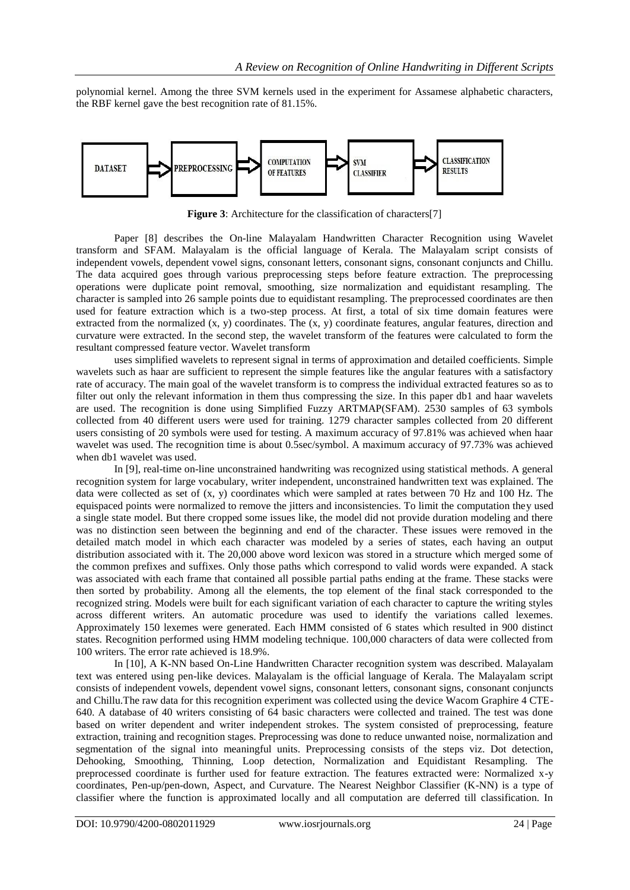polynomial kernel. Among the three SVM kernels used in the experiment for Assamese alphabetic characters, the RBF kernel gave the best recognition rate of 81.15%.



**Figure 3**: Architecture for the classification of characters[7]

Paper [8] describes the On-line Malayalam Handwritten Character Recognition using Wavelet transform and SFAM. Malayalam is the official language of Kerala. The Malayalam script consists of independent vowels, dependent vowel signs, consonant letters, consonant signs, consonant conjuncts and Chillu. The data acquired goes through various preprocessing steps before feature extraction. The preprocessing operations were duplicate point removal, smoothing, size normalization and equidistant resampling. The character is sampled into 26 sample points due to equidistant resampling. The preprocessed coordinates are then used for feature extraction which is a two-step process. At first, a total of six time domain features were extracted from the normalized  $(x, y)$  coordinates. The  $(x, y)$  coordinate features, angular features, direction and curvature were extracted. In the second step, the wavelet transform of the features were calculated to form the resultant compressed feature vector. Wavelet transform

uses simplified wavelets to represent signal in terms of approximation and detailed coefficients. Simple wavelets such as haar are sufficient to represent the simple features like the angular features with a satisfactory rate of accuracy. The main goal of the wavelet transform is to compress the individual extracted features so as to filter out only the relevant information in them thus compressing the size. In this paper db1 and haar wavelets are used. The recognition is done using Simplified Fuzzy ARTMAP(SFAM). 2530 samples of 63 symbols collected from 40 different users were used for training. 1279 character samples collected from 20 different users consisting of 20 symbols were used for testing. A maximum accuracy of 97.81% was achieved when haar wavelet was used. The recognition time is about 0.5sec/symbol. A maximum accuracy of 97.73% was achieved when db1 wavelet was used.

In [9], real-time on-line unconstrained handwriting was recognized using statistical methods. A general recognition system for large vocabulary, writer independent, unconstrained handwritten text was explained. The data were collected as set of  $(x, y)$  coordinates which were sampled at rates between 70 Hz and 100 Hz. The equispaced points were normalized to remove the jitters and inconsistencies. To limit the computation they used a single state model. But there cropped some issues like, the model did not provide duration modeling and there was no distinction seen between the beginning and end of the character. These issues were removed in the detailed match model in which each character was modeled by a series of states, each having an output distribution associated with it. The 20,000 above word lexicon was stored in a structure which merged some of the common prefixes and suffixes. Only those paths which correspond to valid words were expanded. A stack was associated with each frame that contained all possible partial paths ending at the frame. These stacks were then sorted by probability. Among all the elements, the top element of the final stack corresponded to the recognized string. Models were built for each significant variation of each character to capture the writing styles across different writers. An automatic procedure was used to identify the variations called lexemes. Approximately 150 lexemes were generated. Each HMM consisted of 6 states which resulted in 900 distinct states. Recognition performed using HMM modeling technique. 100,000 characters of data were collected from 100 writers. The error rate achieved is 18.9%.

In [10], A K-NN based On-Line Handwritten Character recognition system was described. Malayalam text was entered using pen-like devices. Malayalam is the official language of Kerala. The Malayalam script consists of independent vowels, dependent vowel signs, consonant letters, consonant signs, consonant conjuncts and Chillu.The raw data for this recognition experiment was collected using the device Wacom Graphire 4 CTE-640. A database of 40 writers consisting of 64 basic characters were collected and trained. The test was done based on writer dependent and writer independent strokes. The system consisted of preprocessing, feature extraction, training and recognition stages. Preprocessing was done to reduce unwanted noise, normalization and segmentation of the signal into meaningful units. Preprocessing consists of the steps viz. Dot detection, Dehooking, Smoothing, Thinning, Loop detection, Normalization and Equidistant Resampling. The preprocessed coordinate is further used for feature extraction. The features extracted were: Normalized x-y coordinates, Pen-up/pen-down, Aspect, and Curvature. The Nearest Neighbor Classifier (K-NN) is a type of classifier where the function is approximated locally and all computation are deferred till classification. In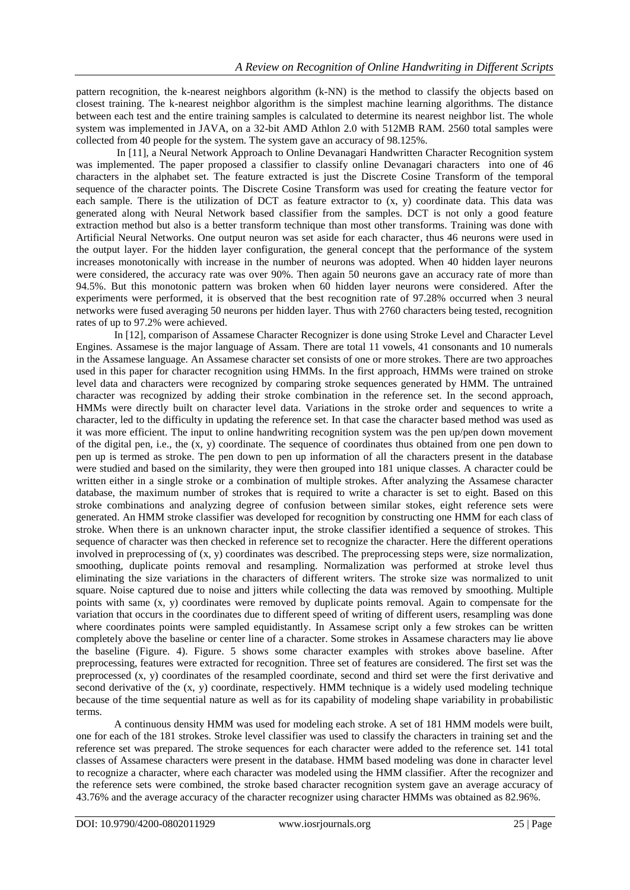pattern recognition, the k-nearest neighbors algorithm (k-NN) is the method to classify the objects based on closest training. The k-nearest neighbor algorithm is the simplest machine learning algorithms. The distance between each test and the entire training samples is calculated to determine its nearest neighbor list. The whole system was implemented in JAVA, on a 32-bit AMD Athlon 2.0 with 512MB RAM. 2560 total samples were collected from 40 people for the system. The system gave an accuracy of 98.125%.

In [11], a Neural Network Approach to Online Devanagari Handwritten Character Recognition system was implemented. The paper proposed a classifier to classify online Devanagari characters into one of 46 characters in the alphabet set. The feature extracted is just the Discrete Cosine Transform of the temporal sequence of the character points. The Discrete Cosine Transform was used for creating the feature vector for each sample. There is the utilization of DCT as feature extractor to (x, y) coordinate data. This data was generated along with Neural Network based classifier from the samples. DCT is not only a good feature extraction method but also is a better transform technique than most other transforms. Training was done with Artificial Neural Networks. One output neuron was set aside for each character, thus 46 neurons were used in the output layer. For the hidden layer configuration, the general concept that the performance of the system increases monotonically with increase in the number of neurons was adopted. When 40 hidden layer neurons were considered, the accuracy rate was over 90%. Then again 50 neurons gave an accuracy rate of more than 94.5%. But this monotonic pattern was broken when 60 hidden layer neurons were considered. After the experiments were performed, it is observed that the best recognition rate of 97.28% occurred when 3 neural networks were fused averaging 50 neurons per hidden layer. Thus with 2760 characters being tested, recognition rates of up to 97.2% were achieved.

In [12], comparison of Assamese Character Recognizer is done using Stroke Level and Character Level Engines. Assamese is the major language of Assam. There are total 11 vowels, 41 consonants and 10 numerals in the Assamese language. An Assamese character set consists of one or more strokes. There are two approaches used in this paper for character recognition using HMMs. In the first approach, HMMs were trained on stroke level data and characters were recognized by comparing stroke sequences generated by HMM. The untrained character was recognized by adding their stroke combination in the reference set. In the second approach, HMMs were directly built on character level data. Variations in the stroke order and sequences to write a character, led to the difficulty in updating the reference set. In that case the character based method was used as it was more efficient. The input to online handwriting recognition system was the pen up/pen down movement of the digital pen, i.e., the (x, y) coordinate. The sequence of coordinates thus obtained from one pen down to pen up is termed as stroke. The pen down to pen up information of all the characters present in the database were studied and based on the similarity, they were then grouped into 181 unique classes. A character could be written either in a single stroke or a combination of multiple strokes. After analyzing the Assamese character database, the maximum number of strokes that is required to write a character is set to eight. Based on this stroke combinations and analyzing degree of confusion between similar stokes, eight reference sets were generated. An HMM stroke classifier was developed for recognition by constructing one HMM for each class of stroke. When there is an unknown character input, the stroke classifier identified a sequence of strokes. This sequence of character was then checked in reference set to recognize the character. Here the different operations involved in preprocessing of (x, y) coordinates was described. The preprocessing steps were, size normalization, smoothing, duplicate points removal and resampling. Normalization was performed at stroke level thus eliminating the size variations in the characters of different writers. The stroke size was normalized to unit square. Noise captured due to noise and jitters while collecting the data was removed by smoothing. Multiple points with same (x, y) coordinates were removed by duplicate points removal. Again to compensate for the variation that occurs in the coordinates due to different speed of writing of different users, resampling was done where coordinates points were sampled equidistantly. In Assamese script only a few strokes can be written completely above the baseline or center line of a character. Some strokes in Assamese characters may lie above the baseline (Figure. 4). Figure. 5 shows some character examples with strokes above baseline. After preprocessing, features were extracted for recognition. Three set of features are considered. The first set was the preprocessed (x, y) coordinates of the resampled coordinate, second and third set were the first derivative and second derivative of the (x, y) coordinate, respectively. HMM technique is a widely used modeling technique because of the time sequential nature as well as for its capability of modeling shape variability in probabilistic terms.

A continuous density HMM was used for modeling each stroke. A set of 181 HMM models were built, one for each of the 181 strokes. Stroke level classifier was used to classify the characters in training set and the reference set was prepared. The stroke sequences for each character were added to the reference set. 141 total classes of Assamese characters were present in the database. HMM based modeling was done in character level to recognize a character, where each character was modeled using the HMM classifier. After the recognizer and the reference sets were combined, the stroke based character recognition system gave an average accuracy of 43.76% and the average accuracy of the character recognizer using character HMMs was obtained as 82.96%.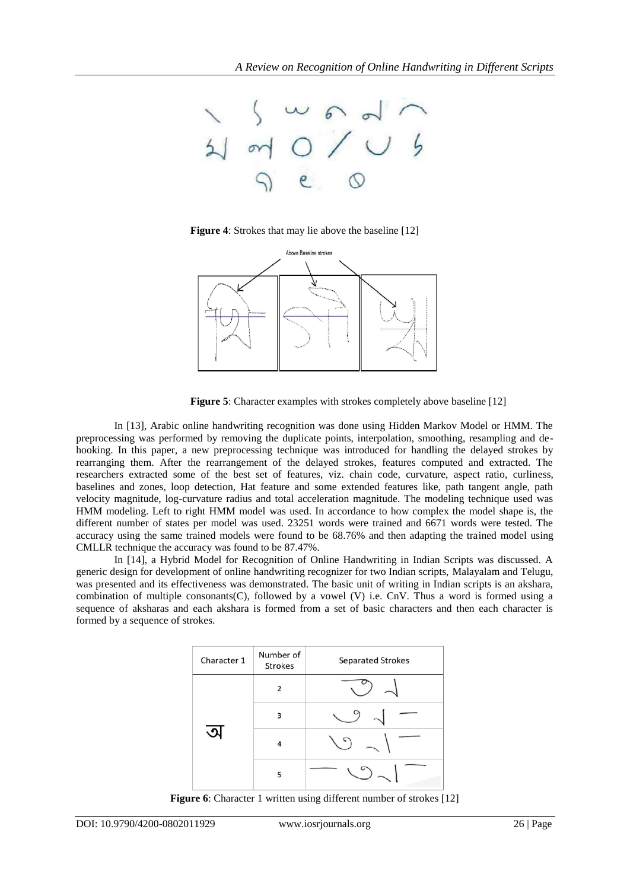

**Figure 4**: Strokes that may lie above the baseline [12]



**Figure 5**: Character examples with strokes completely above baseline [12]

In [13], Arabic online handwriting recognition was done using Hidden Markov Model or HMM. The preprocessing was performed by removing the duplicate points, interpolation, smoothing, resampling and dehooking. In this paper, a new preprocessing technique was introduced for handling the delayed strokes by rearranging them. After the rearrangement of the delayed strokes, features computed and extracted. The researchers extracted some of the best set of features, viz. chain code, curvature, aspect ratio, curliness, baselines and zones, loop detection, Hat feature and some extended features like, path tangent angle, path velocity magnitude, log-curvature radius and total acceleration magnitude. The modeling technique used was HMM modeling. Left to right HMM model was used. In accordance to how complex the model shape is, the different number of states per model was used. 23251 words were trained and 6671 words were tested. The accuracy using the same trained models were found to be 68.76% and then adapting the trained model using CMLLR technique the accuracy was found to be 87.47%.

In [14], a Hybrid Model for Recognition of Online Handwriting in Indian Scripts was discussed. A generic design for development of online handwriting recognizer for two Indian scripts, Malayalam and Telugu, was presented and its effectiveness was demonstrated. The basic unit of writing in Indian scripts is an akshara, combination of multiple consonants(C), followed by a vowel (V) i.e. CnV. Thus a word is formed using a sequence of aksharas and each akshara is formed from a set of basic characters and then each character is formed by a sequence of strokes.



**Figure 6**: Character 1 written using different number of strokes [12]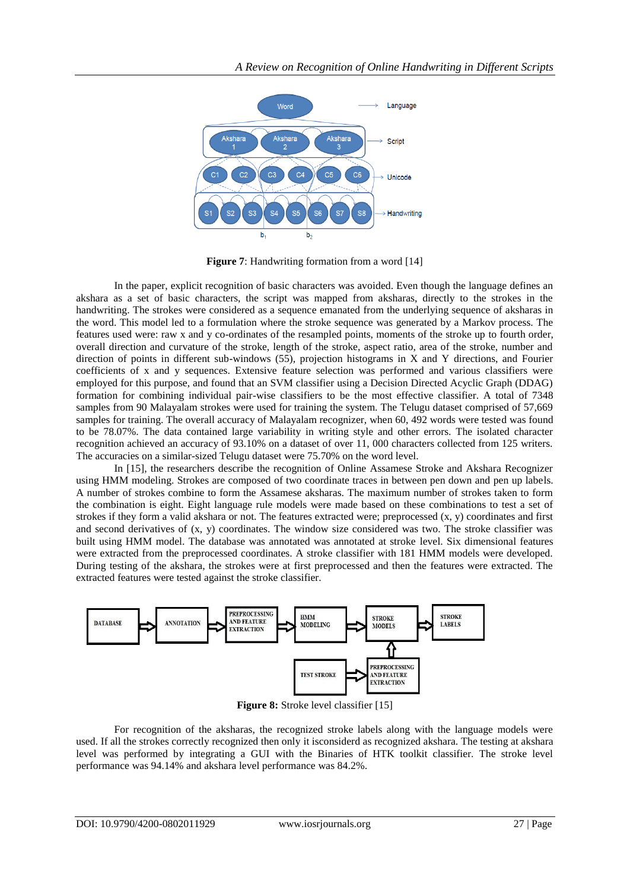

**Figure** 7: Handwriting formation from a word [14]

In the paper, explicit recognition of basic characters was avoided. Even though the language defines an akshara as a set of basic characters, the script was mapped from aksharas, directly to the strokes in the handwriting. The strokes were considered as a sequence emanated from the underlying sequence of aksharas in the word. This model led to a formulation where the stroke sequence was generated by a Markov process. The features used were: raw x and y co-ordinates of the resampled points, moments of the stroke up to fourth order, overall direction and curvature of the stroke, length of the stroke, aspect ratio, area of the stroke, number and direction of points in different sub-windows (55), projection histograms in X and Y directions, and Fourier coefficients of x and y sequences. Extensive feature selection was performed and various classifiers were employed for this purpose, and found that an SVM classifier using a Decision Directed Acyclic Graph (DDAG) formation for combining individual pair-wise classifiers to be the most effective classifier. A total of 7348 samples from 90 Malayalam strokes were used for training the system. The Telugu dataset comprised of 57,669 samples for training. The overall accuracy of Malayalam recognizer, when 60, 492 words were tested was found to be 78.07%. The data contained large variability in writing style and other errors. The isolated character recognition achieved an accuracy of 93.10% on a dataset of over 11, 000 characters collected from 125 writers. The accuracies on a similar-sized Telugu dataset were 75.70% on the word level.

In [15], the researchers describe the recognition of Online Assamese Stroke and Akshara Recognizer using HMM modeling. Strokes are composed of two coordinate traces in between pen down and pen up labels. A number of strokes combine to form the Assamese aksharas. The maximum number of strokes taken to form the combination is eight. Eight language rule models were made based on these combinations to test a set of strokes if they form a valid akshara or not. The features extracted were; preprocessed (x, y) coordinates and first and second derivatives of (x, y) coordinates. The window size considered was two. The stroke classifier was built using HMM model. The database was annotated was annotated at stroke level. Six dimensional features were extracted from the preprocessed coordinates. A stroke classifier with 181 HMM models were developed. During testing of the akshara, the strokes were at first preprocessed and then the features were extracted. The extracted features were tested against the stroke classifier.



**Figure 8:** Stroke level classifier [15]

For recognition of the aksharas, the recognized stroke labels along with the language models were used. If all the strokes correctly recognized then only it isconsiderd as recognized akshara. The testing at akshara level was performed by integrating a GUI with the Binaries of HTK toolkit classifier. The stroke level performance was 94.14% and akshara level performance was 84.2%.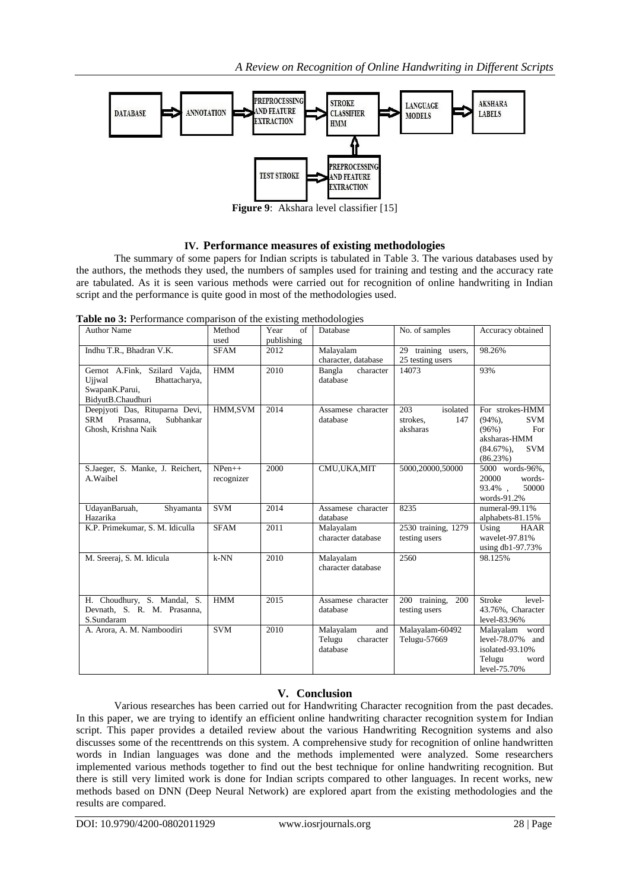

**Figure 9**: Akshara level classifier [15]

### **IV. Performance measures of existing methodologies**

The summary of some papers for Indian scripts is tabulated in Table 3. The various databases used by the authors, the methods they used, the numbers of samples used for training and testing and the accuracy rate are tabulated. As it is seen various methods were carried out for recognition of online handwriting in Indian script and the performance is quite good in most of the methodologies used.

**Table no 3:** Performance comparison of the existing methodologies

| <b>Author Name</b>                                                                              | Method<br>used         | Year<br>of<br>publishing | Database                                            | No. of samples                                 | Accuracy obtained                                                                                                      |
|-------------------------------------------------------------------------------------------------|------------------------|--------------------------|-----------------------------------------------------|------------------------------------------------|------------------------------------------------------------------------------------------------------------------------|
| Indhu T.R., Bhadran V.K.                                                                        | <b>SFAM</b>            | 2012                     | Malayalam<br>character, database                    | 29 training users,<br>25 testing users         | 98.26%                                                                                                                 |
| Gernot A.Fink, Szilard Vajda,<br>Ujiwal<br>Bhattacharya,<br>SwapanK.Parui,<br>BidyutB.Chaudhuri | <b>HMM</b>             | 2010                     | Bangla<br>character<br>database                     | 14073                                          | 93%                                                                                                                    |
| Deepjyoti Das, Rituparna Devi,<br>Prasanna.<br>Subhankar<br>SRM<br>Ghosh, Krishna Naik          | HMM,SVM                | 2014                     | Assamese character<br>database                      | 203<br>isolated<br>147<br>strokes,<br>aksharas | For strokes-HMM<br>$(94\%)$ ,<br><b>SVM</b><br>For<br>(96%)<br>aksharas-HMM<br><b>SVM</b><br>$(84.67\%)$ ,<br>(86.23%) |
| S.Jaeger, S. Manke, J. Reichert,<br>A.Waibel                                                    | $NPen++$<br>recognizer | 2000                     | CMU, UKA, MIT                                       | 5000,20000,50000                               | 5000 words-96%,<br>20000<br>words-<br>50000<br>93.4%.<br>words-91.2%                                                   |
| UdayanBaruah,<br>Shyamanta<br>Hazarika                                                          | <b>SVM</b>             | 2014                     | Assamese character<br>database                      | 8235                                           | numeral-99.11%<br>alphabets-81.15%                                                                                     |
| K.P. Primekumar, S. M. Idiculla                                                                 | <b>SFAM</b>            | 2011                     | Malayalam<br>character database                     | 2530 training, 1279<br>testing users           | Using<br>HAAR<br>wavelet-97.81%<br>using $db1-97.73%$                                                                  |
| M. Sreeraj, S. M. Idicula                                                                       | $k-NN$                 | 2010                     | Malayalam<br>character database                     | 2560                                           | 98.125%                                                                                                                |
| H. Choudhury, S. Mandal, S.<br>Devnath, S. R. M. Prasanna,<br>S.Sundaram                        | <b>HMM</b>             | 2015                     | Assamese character<br>database                      | 200<br>200 training,<br>testing users          | <b>Stroke</b><br>level-<br>43.76%, Character<br>level-83.96%                                                           |
| A. Arora, A. M. Namboodiri                                                                      | <b>SVM</b>             | 2010                     | Malayalam<br>and<br>Telugu<br>character<br>database | Malayalam-60492<br>Telugu-57669                | Malayalam word<br>level- $78.07\%$ and<br>isolated-93.10%<br>Telugu<br>word<br>level-75.70%                            |

## **V. Conclusion**

Various researches has been carried out for Handwriting Character recognition from the past decades. In this paper, we are trying to identify an efficient online handwriting character recognition system for Indian script. This paper provides a detailed review about the various Handwriting Recognition systems and also discusses some of the recenttrends on this system. A comprehensive study for recognition of online handwritten words in Indian languages was done and the methods implemented were analyzed. Some researchers implemented various methods together to find out the best technique for online handwriting recognition. But there is still very limited work is done for Indian scripts compared to other languages. In recent works, new methods based on DNN (Deep Neural Network) are explored apart from the existing methodologies and the results are compared.